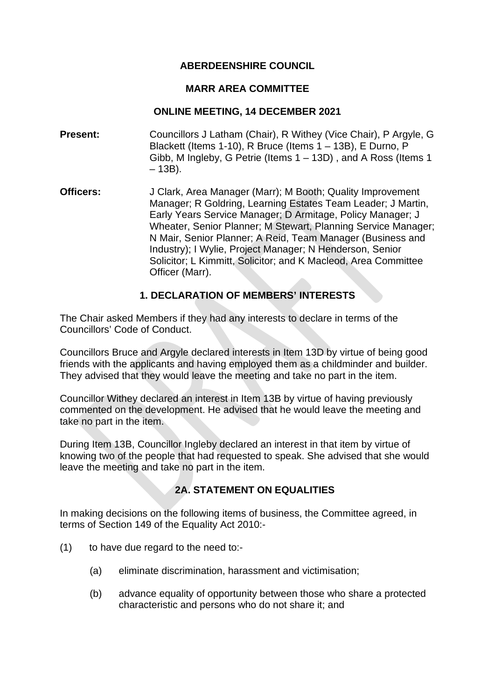### **ABERDEENSHIRE COUNCIL**

#### **MARR AREA COMMITTEE**

#### **ONLINE MEETING, 14 DECEMBER 2021**

- **Present:** Councillors J Latham (Chair), R Withey (Vice Chair), P Argyle, G Blackett (Items 1-10), R Bruce (Items 1 – 13B), E Durno, P Gibb, M Ingleby, G Petrie (Items 1 – 13D) , and A Ross (Items 1  $-13B$ ).
- **Officers:** J Clark, Area Manager (Marr); M Booth; Quality Improvement Manager; R Goldring, Learning Estates Team Leader; J Martin, Early Years Service Manager; D Armitage, Policy Manager; J Wheater, Senior Planner; M Stewart, Planning Service Manager; N Mair, Senior Planner; A Reid, Team Manager (Business and Industry); I Wylie, Project Manager; N Henderson, Senior Solicitor; L Kimmitt, Solicitor; and K Macleod, Area Committee Officer (Marr).

## **1. DECLARATION OF MEMBERS' INTERESTS**

The Chair asked Members if they had any interests to declare in terms of the Councillors' Code of Conduct.

Councillors Bruce and Argyle declared interests in Item 13D by virtue of being good friends with the applicants and having employed them as a childminder and builder. They advised that they would leave the meeting and take no part in the item.

Councillor Withey declared an interest in Item 13B by virtue of having previously commented on the development. He advised that he would leave the meeting and take no part in the item.

During Item 13B, Councillor Ingleby declared an interest in that item by virtue of knowing two of the people that had requested to speak. She advised that she would leave the meeting and take no part in the item.

## **2A. STATEMENT ON EQUALITIES**

In making decisions on the following items of business, the Committee agreed, in terms of Section 149 of the Equality Act 2010:-

- (1) to have due regard to the need to:-
	- (a) eliminate discrimination, harassment and victimisation;
	- (b) advance equality of opportunity between those who share a protected characteristic and persons who do not share it; and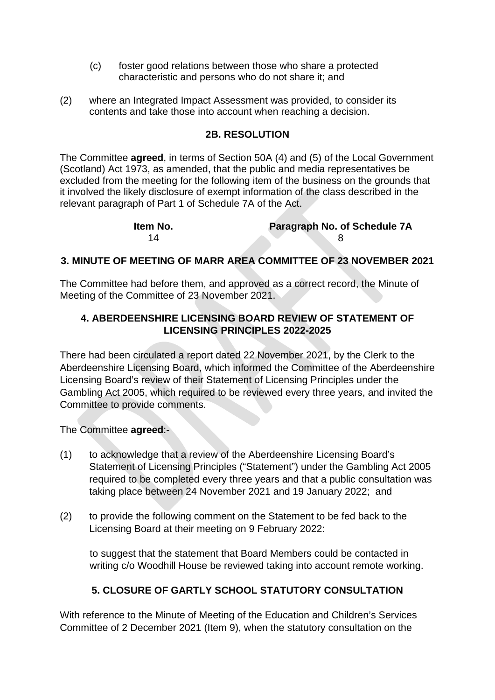- (c) foster good relations between those who share a protected characteristic and persons who do not share it; and
- (2) where an Integrated Impact Assessment was provided, to consider its contents and take those into account when reaching a decision.

### **2B. RESOLUTION**

The Committee **agreed**, in terms of Section 50A (4) and (5) of the Local Government (Scotland) Act 1973, as amended, that the public and media representatives be excluded from the meeting for the following item of the business on the grounds that it involved the likely disclosure of exempt information of the class described in the relevant paragraph of Part 1 of Schedule 7A of the Act.

| ltem No. | <b>Paragraph No. of Schedule 7A</b> |
|----------|-------------------------------------|
| 14       |                                     |

### **3. MINUTE OF MEETING OF MARR AREA COMMITTEE OF 23 NOVEMBER 2021**

The Committee had before them, and approved as a correct record, the Minute of Meeting of the Committee of 23 November 2021.

## **4. ABERDEENSHIRE LICENSING BOARD REVIEW OF STATEMENT OF LICENSING PRINCIPLES 2022-2025**

There had been circulated a report dated 22 November 2021, by the Clerk to the Aberdeenshire Licensing Board, which informed the Committee of the Aberdeenshire Licensing Board's review of their Statement of Licensing Principles under the Gambling Act 2005, which required to be reviewed every three years, and invited the Committee to provide comments.

The Committee **agreed**:-

- (1) to acknowledge that a review of the Aberdeenshire Licensing Board's Statement of Licensing Principles ("Statement") under the Gambling Act 2005 required to be completed every three years and that a public consultation was taking place between 24 November 2021 and 19 January 2022; and
- (2) to provide the following comment on the Statement to be fed back to the Licensing Board at their meeting on 9 February 2022:

to suggest that the statement that Board Members could be contacted in writing c/o Woodhill House be reviewed taking into account remote working.

## **5. CLOSURE OF GARTLY SCHOOL STATUTORY CONSULTATION**

With reference to the Minute of Meeting of the Education and Children's Services Committee of 2 December 2021 (Item 9), when the statutory consultation on the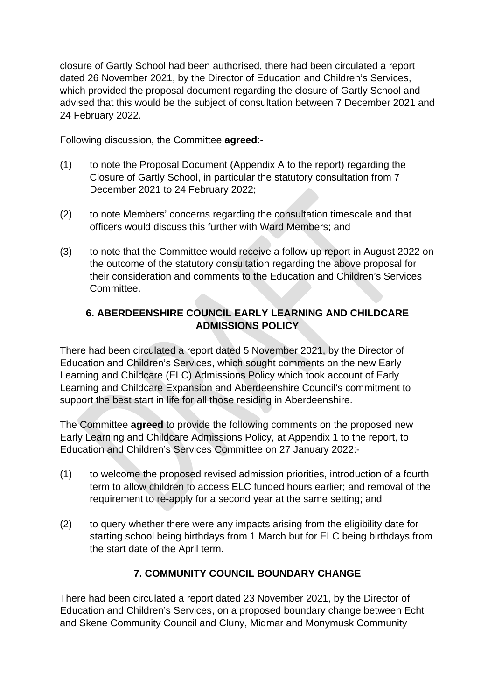closure of Gartly School had been authorised, there had been circulated a report dated 26 November 2021, by the Director of Education and Children's Services, which provided the proposal document regarding the closure of Gartly School and advised that this would be the subject of consultation between 7 December 2021 and 24 February 2022.

Following discussion, the Committee **agreed**:-

- (1) to note the Proposal Document (Appendix A to the report) regarding the Closure of Gartly School, in particular the statutory consultation from 7 December 2021 to 24 February 2022;
- (2) to note Members' concerns regarding the consultation timescale and that officers would discuss this further with Ward Members; and
- (3) to note that the Committee would receive a follow up report in August 2022 on the outcome of the statutory consultation regarding the above proposal for their consideration and comments to the Education and Children's Services Committee.

## **6. ABERDEENSHIRE COUNCIL EARLY LEARNING AND CHILDCARE ADMISSIONS POLICY**

There had been circulated a report dated 5 November 2021, by the Director of Education and Children's Services, which sought comments on the new Early Learning and Childcare (ELC) Admissions Policy which took account of Early Learning and Childcare Expansion and Aberdeenshire Council's commitment to support the best start in life for all those residing in Aberdeenshire.

The Committee **agreed** to provide the following comments on the proposed new Early Learning and Childcare Admissions Policy, at Appendix 1 to the report, to Education and Children's Services Committee on 27 January 2022:-

- (1) to welcome the proposed revised admission priorities, introduction of a fourth term to allow children to access ELC funded hours earlier; and removal of the requirement to re-apply for a second year at the same setting; and
- (2) to query whether there were any impacts arising from the eligibility date for starting school being birthdays from 1 March but for ELC being birthdays from the start date of the April term.

## **7. COMMUNITY COUNCIL BOUNDARY CHANGE**

There had been circulated a report dated 23 November 2021, by the Director of Education and Children's Services, on a proposed boundary change between Echt and Skene Community Council and Cluny, Midmar and Monymusk Community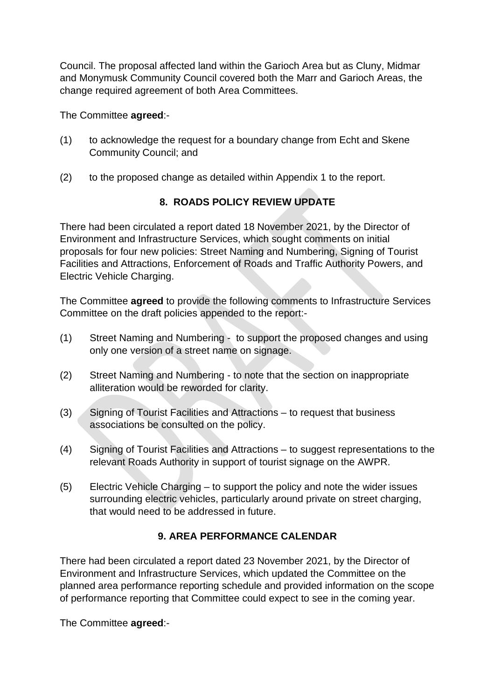Council. The proposal affected land within the Garioch Area but as Cluny, Midmar and Monymusk Community Council covered both the Marr and Garioch Areas, the change required agreement of both Area Committees.

The Committee **agreed**:-

- (1) to acknowledge the request for a boundary change from Echt and Skene Community Council; and
- (2) to the proposed change as detailed within Appendix 1 to the report.

# **8. ROADS POLICY REVIEW UPDATE**

There had been circulated a report dated 18 November 2021, by the Director of Environment and Infrastructure Services, which sought comments on initial proposals for four new policies: Street Naming and Numbering, Signing of Tourist Facilities and Attractions, Enforcement of Roads and Traffic Authority Powers, and Electric Vehicle Charging.

The Committee **agreed** to provide the following comments to Infrastructure Services Committee on the draft policies appended to the report:-

- (1) Street Naming and Numbering to support the proposed changes and using only one version of a street name on signage.
- (2) Street Naming and Numbering to note that the section on inappropriate alliteration would be reworded for clarity.
- (3) Signing of Tourist Facilities and Attractions to request that business associations be consulted on the policy.
- (4) Signing of Tourist Facilities and Attractions to suggest representations to the relevant Roads Authority in support of tourist signage on the AWPR.
- (5) Electric Vehicle Charging to support the policy and note the wider issues surrounding electric vehicles, particularly around private on street charging, that would need to be addressed in future.

## **9. AREA PERFORMANCE CALENDAR**

There had been circulated a report dated 23 November 2021, by the Director of Environment and Infrastructure Services, which updated the Committee on the planned area performance reporting schedule and provided information on the scope of performance reporting that Committee could expect to see in the coming year.

The Committee **agreed**:-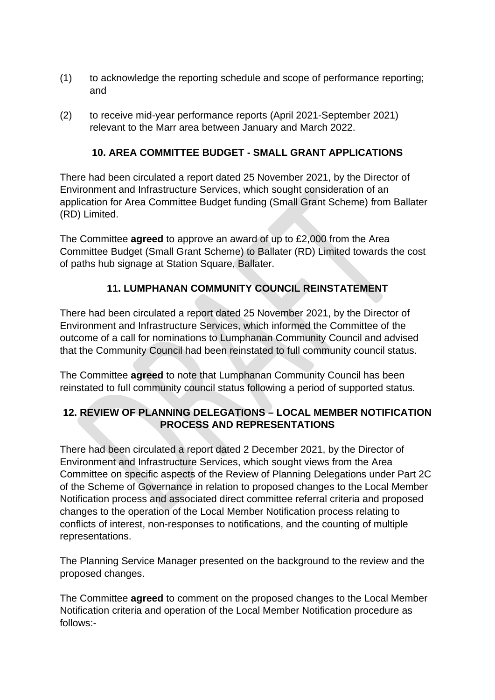- (1) to acknowledge the reporting schedule and scope of performance reporting; and
- (2) to receive mid-year performance reports (April 2021-September 2021) relevant to the Marr area between January and March 2022.

## **10. AREA COMMITTEE BUDGET - SMALL GRANT APPLICATIONS**

There had been circulated a report dated 25 November 2021, by the Director of Environment and Infrastructure Services, which sought consideration of an application for Area Committee Budget funding (Small Grant Scheme) from Ballater (RD) Limited.

The Committee **agreed** to approve an award of up to £2,000 from the Area Committee Budget (Small Grant Scheme) to Ballater (RD) Limited towards the cost of paths hub signage at Station Square, Ballater.

## **11. LUMPHANAN COMMUNITY COUNCIL REINSTATEMENT**

There had been circulated a report dated 25 November 2021, by the Director of Environment and Infrastructure Services, which informed the Committee of the outcome of a call for nominations to Lumphanan Community Council and advised that the Community Council had been reinstated to full community council status.

The Committee **agreed** to note that Lumphanan Community Council has been reinstated to full community council status following a period of supported status.

## **12. REVIEW OF PLANNING DELEGATIONS – LOCAL MEMBER NOTIFICATION PROCESS AND REPRESENTATIONS**

There had been circulated a report dated 2 December 2021, by the Director of Environment and Infrastructure Services, which sought views from the Area Committee on specific aspects of the Review of Planning Delegations under Part 2C of the Scheme of Governance in relation to proposed changes to the Local Member Notification process and associated direct committee referral criteria and proposed changes to the operation of the Local Member Notification process relating to conflicts of interest, non-responses to notifications, and the counting of multiple representations.

The Planning Service Manager presented on the background to the review and the proposed changes.

The Committee **agreed** to comment on the proposed changes to the Local Member Notification criteria and operation of the Local Member Notification procedure as follows:-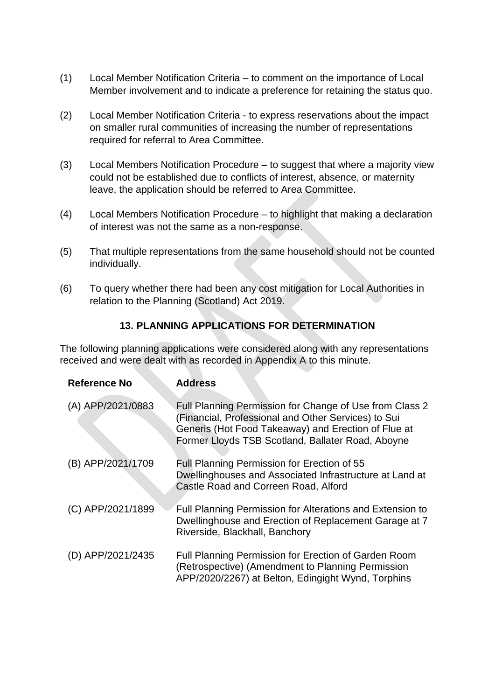- (1) Local Member Notification Criteria to comment on the importance of Local Member involvement and to indicate a preference for retaining the status quo.
- (2) Local Member Notification Criteria to express reservations about the impact on smaller rural communities of increasing the number of representations required for referral to Area Committee.
- (3) Local Members Notification Procedure to suggest that where a majority view could not be established due to conflicts of interest, absence, or maternity leave, the application should be referred to Area Committee.
- (4) Local Members Notification Procedure to highlight that making a declaration of interest was not the same as a non-response.
- (5) That multiple representations from the same household should not be counted individually.
- (6) To query whether there had been any cost mitigation for Local Authorities in relation to the Planning (Scotland) Act 2019.

## **13. PLANNING APPLICATIONS FOR DETERMINATION**

The following planning applications were considered along with any representations received and were dealt with as recorded in Appendix A to this minute.

| <b>Reference No</b> | <b>Address</b>                                                                                                                                                                                                             |
|---------------------|----------------------------------------------------------------------------------------------------------------------------------------------------------------------------------------------------------------------------|
| (A) APP/2021/0883   | Full Planning Permission for Change of Use from Class 2<br>(Financial, Professional and Other Services) to Sui<br>Generis (Hot Food Takeaway) and Erection of Flue at<br>Former Lloyds TSB Scotland, Ballater Road, Aboyne |
| (B) APP/2021/1709   | Full Planning Permission for Erection of 55<br>Dwellinghouses and Associated Infrastructure at Land at<br>Castle Road and Correen Road, Alford                                                                             |
| (C) APP/2021/1899   | Full Planning Permission for Alterations and Extension to<br>Dwellinghouse and Erection of Replacement Garage at 7<br>Riverside, Blackhall, Banchory                                                                       |
| (D) APP/2021/2435   | Full Planning Permission for Erection of Garden Room<br>(Retrospective) (Amendment to Planning Permission<br>APP/2020/2267) at Belton, Edingight Wynd, Torphins                                                            |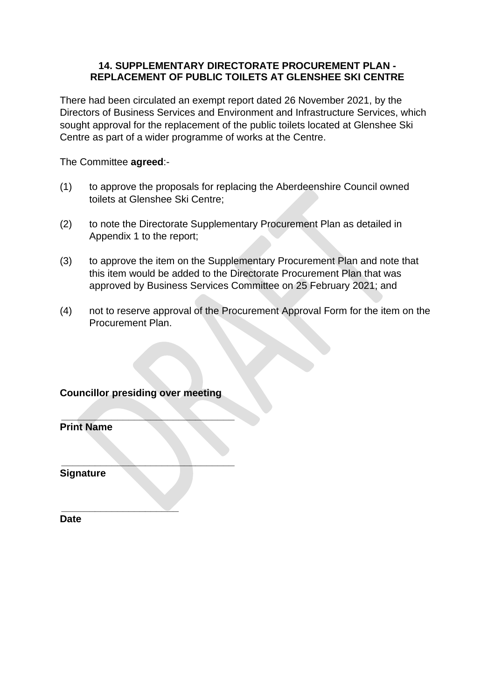### **14. SUPPLEMENTARY DIRECTORATE PROCUREMENT PLAN - REPLACEMENT OF PUBLIC TOILETS AT GLENSHEE SKI CENTRE**

There had been circulated an exempt report dated 26 November 2021, by the Directors of Business Services and Environment and Infrastructure Services, which sought approval for the replacement of the public toilets located at Glenshee Ski Centre as part of a wider programme of works at the Centre.

The Committee **agreed**:-

- (1) to approve the proposals for replacing the Aberdeenshire Council owned toilets at Glenshee Ski Centre;
- (2) to note the Directorate Supplementary Procurement Plan as detailed in Appendix 1 to the report;
- (3) to approve the item on the Supplementary Procurement Plan and note that this item would be added to the Directorate Procurement Plan that was approved by Business Services Committee on 25 February 2021; and
- (4) not to reserve approval of the Procurement Approval Form for the item on the Procurement Plan.

## **Councillor presiding over meeting**

 **\_\_\_\_\_\_\_\_\_\_\_\_\_\_\_\_\_\_\_\_\_\_\_\_\_\_\_\_\_\_\_** 

 **\_\_\_\_\_\_\_\_\_\_\_\_\_\_\_\_\_\_\_\_\_\_\_\_\_\_\_\_\_\_\_** 

 **\_\_\_\_\_\_\_\_\_\_\_\_\_\_\_\_\_\_\_\_\_** 

**Print Name** 

**Signature** 

**Date**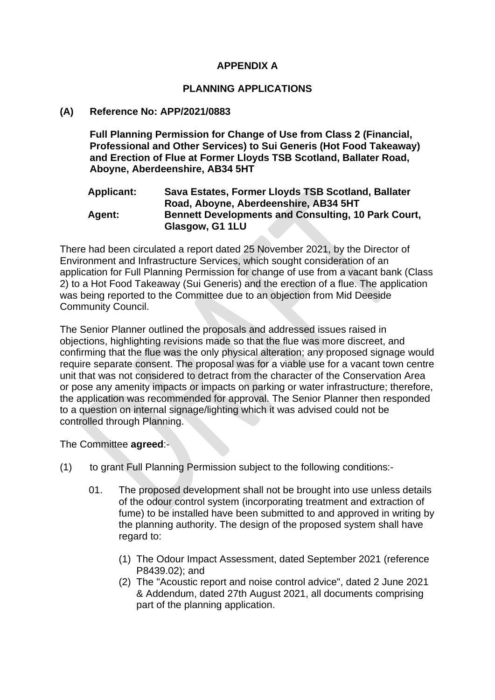### **APPENDIX A**

#### **PLANNING APPLICATIONS**

#### **(A) Reference No: APP/2021/0883**

**Full Planning Permission for Change of Use from Class 2 (Financial, Professional and Other Services) to Sui Generis (Hot Food Takeaway) and Erection of Flue at Former Lloyds TSB Scotland, Ballater Road, Aboyne, Aberdeenshire, AB34 5HT** 

#### **Applicant: Sava Estates, Former Lloyds TSB Scotland, Ballater Road, Aboyne, Aberdeenshire, AB34 5HT Agent: Bennett Developments and Consulting, 10 Park Court, Glasgow, G1 1LU**

There had been circulated a report dated 25 November 2021, by the Director of Environment and Infrastructure Services, which sought consideration of an application for Full Planning Permission for change of use from a vacant bank (Class 2) to a Hot Food Takeaway (Sui Generis) and the erection of a flue. The application was being reported to the Committee due to an objection from Mid Deeside Community Council.

The Senior Planner outlined the proposals and addressed issues raised in objections, highlighting revisions made so that the flue was more discreet, and confirming that the flue was the only physical alteration; any proposed signage would require separate consent. The proposal was for a viable use for a vacant town centre unit that was not considered to detract from the character of the Conservation Area or pose any amenity impacts or impacts on parking or water infrastructure; therefore, the application was recommended for approval. The Senior Planner then responded to a question on internal signage/lighting which it was advised could not be controlled through Planning.

The Committee **agreed**:-

- (1) to grant Full Planning Permission subject to the following conditions:-
	- 01. The proposed development shall not be brought into use unless details of the odour control system (incorporating treatment and extraction of fume) to be installed have been submitted to and approved in writing by the planning authority. The design of the proposed system shall have regard to:
		- (1) The Odour Impact Assessment, dated September 2021 (reference P8439.02); and
		- (2) The "Acoustic report and noise control advice", dated 2 June 2021 & Addendum, dated 27th August 2021, all documents comprising part of the planning application.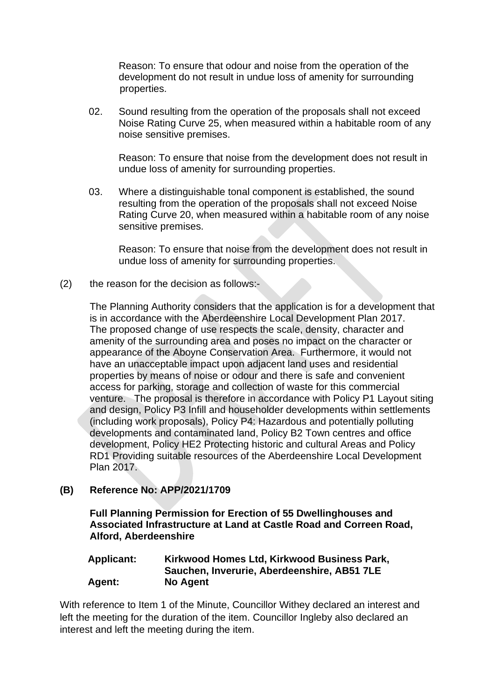Reason: To ensure that odour and noise from the operation of the development do not result in undue loss of amenity for surrounding properties.

02. Sound resulting from the operation of the proposals shall not exceed Noise Rating Curve 25, when measured within a habitable room of any noise sensitive premises.

 Reason: To ensure that noise from the development does not result in undue loss of amenity for surrounding properties.

03. Where a distinguishable tonal component is established, the sound resulting from the operation of the proposals shall not exceed Noise Rating Curve 20, when measured within a habitable room of any noise sensitive premises.

 Reason: To ensure that noise from the development does not result in undue loss of amenity for surrounding properties.

(2) the reason for the decision as follows:-

The Planning Authority considers that the application is for a development that is in accordance with the Aberdeenshire Local Development Plan 2017. The proposed change of use respects the scale, density, character and amenity of the surrounding area and poses no impact on the character or appearance of the Aboyne Conservation Area. Furthermore, it would not have an unacceptable impact upon adjacent land uses and residential properties by means of noise or odour and there is safe and convenient access for parking, storage and collection of waste for this commercial venture. The proposal is therefore in accordance with Policy P1 Layout siting and design, Policy P3 Infill and householder developments within settlements (including work proposals), Policy P4: Hazardous and potentially polluting developments and contaminated land, Policy B2 Town centres and office development, Policy HE2 Protecting historic and cultural Areas and Policy RD1 Providing suitable resources of the Aberdeenshire Local Development Plan 2017.

### **(B) Reference No: APP/2021/1709**

**Full Planning Permission for Erection of 55 Dwellinghouses and Associated Infrastructure at Land at Castle Road and Correen Road, Alford, Aberdeenshire** 

### **Applicant: Kirkwood Homes Ltd, Kirkwood Business Park, Sauchen, Inverurie, Aberdeenshire, AB51 7LE Agent: No Agent**

With reference to Item 1 of the Minute, Councillor Withey declared an interest and left the meeting for the duration of the item. Councillor Ingleby also declared an interest and left the meeting during the item.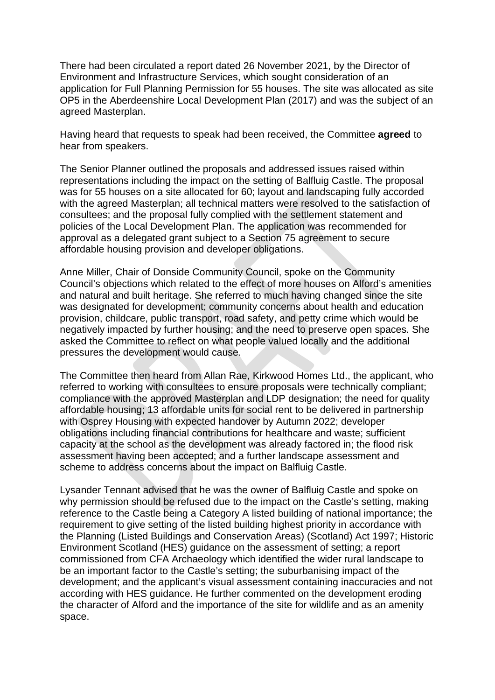There had been circulated a report dated 26 November 2021, by the Director of Environment and Infrastructure Services, which sought consideration of an application for Full Planning Permission for 55 houses. The site was allocated as site OP5 in the Aberdeenshire Local Development Plan (2017) and was the subject of an agreed Masterplan.

Having heard that requests to speak had been received, the Committee **agreed** to hear from speakers.

The Senior Planner outlined the proposals and addressed issues raised within representations including the impact on the setting of Balfluig Castle. The proposal was for 55 houses on a site allocated for 60; layout and landscaping fully accorded with the agreed Masterplan; all technical matters were resolved to the satisfaction of consultees; and the proposal fully complied with the settlement statement and policies of the Local Development Plan. The application was recommended for approval as a delegated grant subject to a Section 75 agreement to secure affordable housing provision and developer obligations.

Anne Miller, Chair of Donside Community Council, spoke on the Community Council's objections which related to the effect of more houses on Alford's amenities and natural and built heritage. She referred to much having changed since the site was designated for development; community concerns about health and education provision, childcare, public transport, road safety, and petty crime which would be negatively impacted by further housing; and the need to preserve open spaces. She asked the Committee to reflect on what people valued locally and the additional pressures the development would cause.

The Committee then heard from Allan Rae, Kirkwood Homes Ltd., the applicant, who referred to working with consultees to ensure proposals were technically compliant; compliance with the approved Masterplan and LDP designation; the need for quality affordable housing; 13 affordable units for social rent to be delivered in partnership with Osprey Housing with expected handover by Autumn 2022; developer obligations including financial contributions for healthcare and waste; sufficient capacity at the school as the development was already factored in; the flood risk assessment having been accepted; and a further landscape assessment and scheme to address concerns about the impact on Balfluig Castle.

Lysander Tennant advised that he was the owner of Balfluig Castle and spoke on why permission should be refused due to the impact on the Castle's setting, making reference to the Castle being a Category A listed building of national importance; the requirement to give setting of the listed building highest priority in accordance with the Planning (Listed Buildings and Conservation Areas) (Scotland) Act 1997; Historic Environment Scotland (HES) guidance on the assessment of setting; a report commissioned from CFA Archaeology which identified the wider rural landscape to be an important factor to the Castle's setting; the suburbanising impact of the development; and the applicant's visual assessment containing inaccuracies and not according with HES guidance. He further commented on the development eroding the character of Alford and the importance of the site for wildlife and as an amenity space.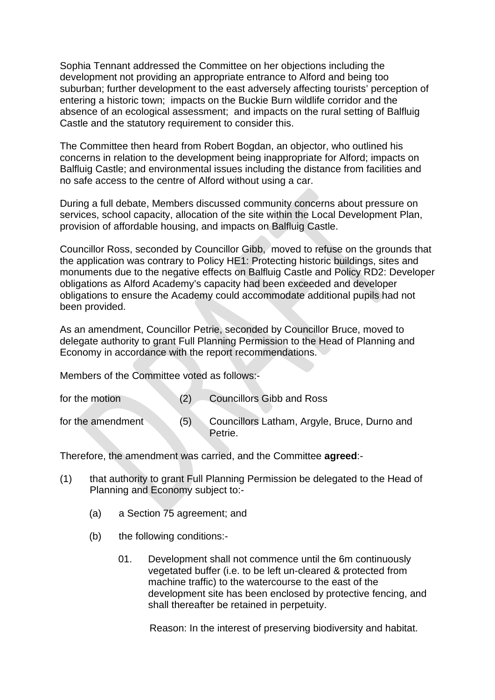Sophia Tennant addressed the Committee on her objections including the development not providing an appropriate entrance to Alford and being too suburban; further development to the east adversely affecting tourists' perception of entering a historic town; impacts on the Buckie Burn wildlife corridor and the absence of an ecological assessment; and impacts on the rural setting of Balfluig Castle and the statutory requirement to consider this.

The Committee then heard from Robert Bogdan, an objector, who outlined his concerns in relation to the development being inappropriate for Alford; impacts on Balfluig Castle; and environmental issues including the distance from facilities and no safe access to the centre of Alford without using a car.

During a full debate, Members discussed community concerns about pressure on services, school capacity, allocation of the site within the Local Development Plan, provision of affordable housing, and impacts on Balfluig Castle.

Councillor Ross, seconded by Councillor Gibb, moved to refuse on the grounds that the application was contrary to Policy HE1: Protecting historic buildings, sites and monuments due to the negative effects on Balfluig Castle and Policy RD2: Developer obligations as Alford Academy's capacity had been exceeded and developer obligations to ensure the Academy could accommodate additional pupils had not been provided.

As an amendment, Councillor Petrie, seconded by Councillor Bruce, moved to delegate authority to grant Full Planning Permission to the Head of Planning and Economy in accordance with the report recommendations.

Members of the Committee voted as follows:-

| for the motion    |     | <b>Councillors Gibb and Ross</b>                        |
|-------------------|-----|---------------------------------------------------------|
| for the amendment | (5) | Councillors Latham, Argyle, Bruce, Durno and<br>Petrie. |

Therefore, the amendment was carried, and the Committee **agreed**:-

- (1) that authority to grant Full Planning Permission be delegated to the Head of Planning and Economy subject to:-
	- (a) a Section 75 agreement; and
	- (b) the following conditions:-
		- 01. Development shall not commence until the 6m continuously vegetated buffer (i.e. to be left un-cleared & protected from machine traffic) to the watercourse to the east of the development site has been enclosed by protective fencing, and shall thereafter be retained in perpetuity.

Reason: In the interest of preserving biodiversity and habitat.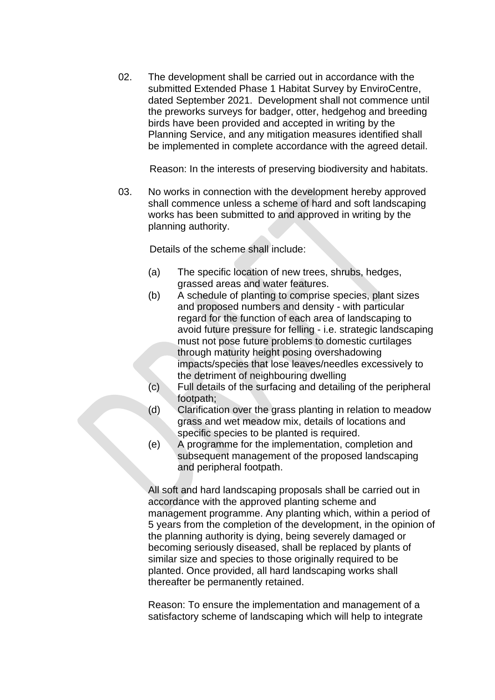02. The development shall be carried out in accordance with the submitted Extended Phase 1 Habitat Survey by EnviroCentre, dated September 2021. Development shall not commence until the preworks surveys for badger, otter, hedgehog and breeding birds have been provided and accepted in writing by the Planning Service, and any mitigation measures identified shall be implemented in complete accordance with the agreed detail.

Reason: In the interests of preserving biodiversity and habitats.

03. No works in connection with the development hereby approved shall commence unless a scheme of hard and soft landscaping works has been submitted to and approved in writing by the planning authority.

Details of the scheme shall include:

- (a) The specific location of new trees, shrubs, hedges, grassed areas and water features.
- (b) A schedule of planting to comprise species, plant sizes and proposed numbers and density - with particular regard for the function of each area of landscaping to avoid future pressure for felling - i.e. strategic landscaping must not pose future problems to domestic curtilages through maturity height posing overshadowing impacts/species that lose leaves/needles excessively to the detriment of neighbouring dwelling
- (c) Full details of the surfacing and detailing of the peripheral footpath;
- (d) Clarification over the grass planting in relation to meadow grass and wet meadow mix, details of locations and specific species to be planted is required.
- (e) A programme for the implementation, completion and subsequent management of the proposed landscaping and peripheral footpath.

 All soft and hard landscaping proposals shall be carried out in accordance with the approved planting scheme and management programme. Any planting which, within a period of 5 years from the completion of the development, in the opinion of the planning authority is dying, being severely damaged or becoming seriously diseased, shall be replaced by plants of similar size and species to those originally required to be planted. Once provided, all hard landscaping works shall thereafter be permanently retained.

 Reason: To ensure the implementation and management of a satisfactory scheme of landscaping which will help to integrate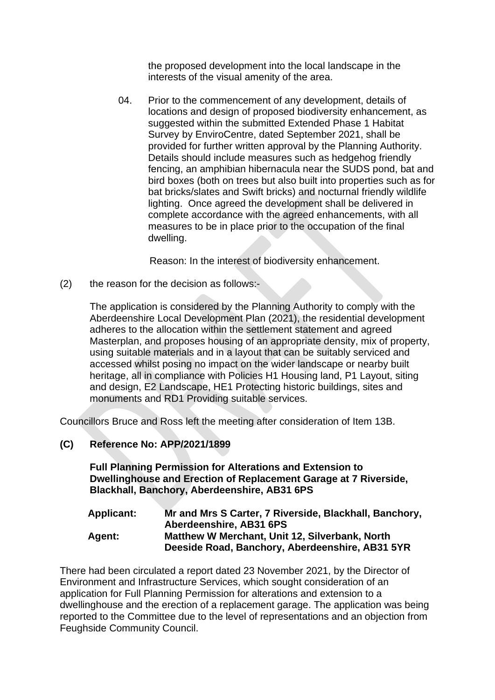the proposed development into the local landscape in the interests of the visual amenity of the area.

04. Prior to the commencement of any development, details of locations and design of proposed biodiversity enhancement, as suggested within the submitted Extended Phase 1 Habitat Survey by EnviroCentre, dated September 2021, shall be provided for further written approval by the Planning Authority. Details should include measures such as hedgehog friendly fencing, an amphibian hibernacula near the SUDS pond, bat and bird boxes (both on trees but also built into properties such as for bat bricks/slates and Swift bricks) and nocturnal friendly wildlife lighting. Once agreed the development shall be delivered in complete accordance with the agreed enhancements, with all measures to be in place prior to the occupation of the final dwelling.

Reason: In the interest of biodiversity enhancement.

(2) the reason for the decision as follows:-

The application is considered by the Planning Authority to comply with the Aberdeenshire Local Development Plan (2021), the residential development adheres to the allocation within the settlement statement and agreed Masterplan, and proposes housing of an appropriate density, mix of property, using suitable materials and in a layout that can be suitably serviced and accessed whilst posing no impact on the wider landscape or nearby built heritage, all in compliance with Policies H1 Housing land, P1 Layout, siting and design, E2 Landscape, HE1 Protecting historic buildings, sites and monuments and RD1 Providing suitable services.

Councillors Bruce and Ross left the meeting after consideration of Item 13B.

## **(C) Reference No: APP/2021/1899**

**Full Planning Permission for Alterations and Extension to Dwellinghouse and Erection of Replacement Garage at 7 Riverside, Blackhall, Banchory, Aberdeenshire, AB31 6PS** 

| <b>Applicant:</b> | Mr and Mrs S Carter, 7 Riverside, Blackhall, Banchory, |
|-------------------|--------------------------------------------------------|
|                   | Aberdeenshire, AB31 6PS                                |
| <b>Agent:</b>     | Matthew W Merchant, Unit 12, Silverbank, North         |
|                   | Deeside Road, Banchory, Aberdeenshire, AB31 5YR        |

There had been circulated a report dated 23 November 2021, by the Director of Environment and Infrastructure Services, which sought consideration of an application for Full Planning Permission for alterations and extension to a dwellinghouse and the erection of a replacement garage. The application was being reported to the Committee due to the level of representations and an objection from Feughside Community Council.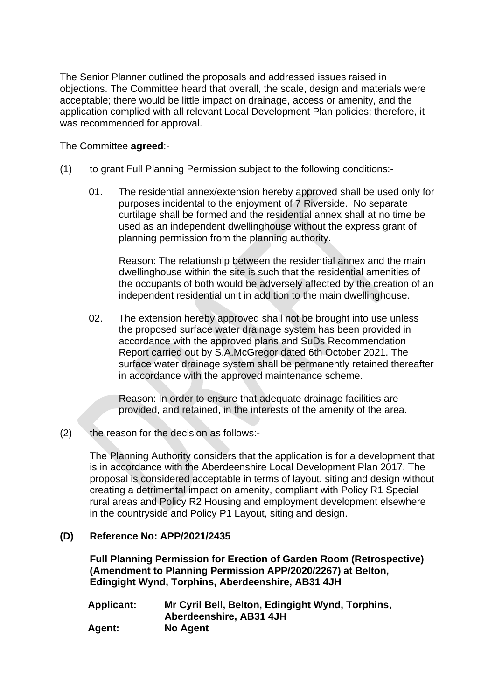The Senior Planner outlined the proposals and addressed issues raised in objections. The Committee heard that overall, the scale, design and materials were acceptable; there would be little impact on drainage, access or amenity, and the application complied with all relevant Local Development Plan policies; therefore, it was recommended for approval.

### The Committee **agreed**:-

- (1) to grant Full Planning Permission subject to the following conditions:-
	- 01. The residential annex/extension hereby approved shall be used only for purposes incidental to the enjoyment of 7 Riverside. No separate curtilage shall be formed and the residential annex shall at no time be used as an independent dwellinghouse without the express grant of planning permission from the planning authority.

 Reason: The relationship between the residential annex and the main dwellinghouse within the site is such that the residential amenities of the occupants of both would be adversely affected by the creation of an independent residential unit in addition to the main dwellinghouse.

02. The extension hereby approved shall not be brought into use unless the proposed surface water drainage system has been provided in accordance with the approved plans and SuDs Recommendation Report carried out by S.A.McGregor dated 6th October 2021. The surface water drainage system shall be permanently retained thereafter in accordance with the approved maintenance scheme.

 Reason: In order to ensure that adequate drainage facilities are provided, and retained, in the interests of the amenity of the area.

(2) the reason for the decision as follows:-

The Planning Authority considers that the application is for a development that is in accordance with the Aberdeenshire Local Development Plan 2017. The proposal is considered acceptable in terms of layout, siting and design without creating a detrimental impact on amenity, compliant with Policy R1 Special rural areas and Policy R2 Housing and employment development elsewhere in the countryside and Policy P1 Layout, siting and design.

### **(D) Reference No: APP/2021/2435**

**Full Planning Permission for Erection of Garden Room (Retrospective) (Amendment to Planning Permission APP/2020/2267) at Belton, Edingight Wynd, Torphins, Aberdeenshire, AB31 4JH** 

| <b>Applicant:</b> | Mr Cyril Bell, Belton, Edingight Wynd, Torphins, |
|-------------------|--------------------------------------------------|
|                   | Aberdeenshire, AB31 4JH                          |
| Agent:            | No Agent                                         |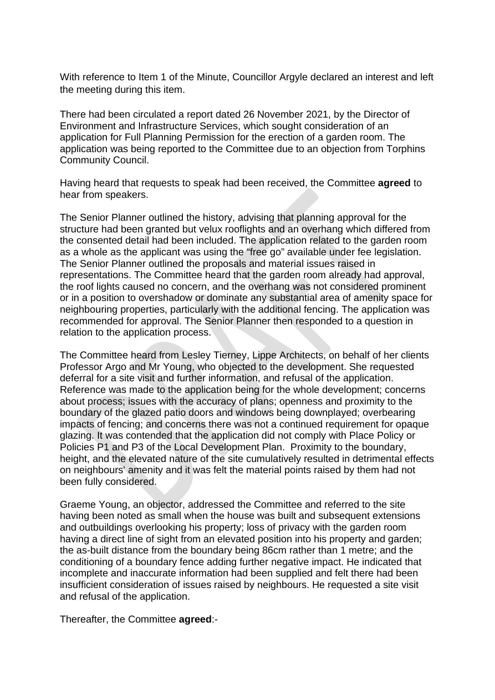With reference to Item 1 of the Minute, Councillor Argyle declared an interest and left the meeting during this item.

There had been circulated a report dated 26 November 2021, by the Director of Environment and Infrastructure Services, which sought consideration of an application for Full Planning Permission for the erection of a garden room. The application was being reported to the Committee due to an objection from Torphins Community Council.

Having heard that requests to speak had been received, the Committee **agreed** to hear from speakers.

The Senior Planner outlined the history, advising that planning approval for the structure had been granted but velux rooflights and an overhang which differed from the consented detail had been included. The application related to the garden room as a whole as the applicant was using the "free go" available under fee legislation. The Senior Planner outlined the proposals and material issues raised in representations. The Committee heard that the garden room already had approval, the roof lights caused no concern, and the overhang was not considered prominent or in a position to overshadow or dominate any substantial area of amenity space for neighbouring properties, particularly with the additional fencing. The application was recommended for approval. The Senior Planner then responded to a question in relation to the application process.

The Committee heard from Lesley Tierney, Lippe Architects, on behalf of her clients Professor Argo and Mr Young, who objected to the development. She requested deferral for a site visit and further information, and refusal of the application. Reference was made to the application being for the whole development; concerns about process; issues with the accuracy of plans; openness and proximity to the boundary of the glazed patio doors and windows being downplayed; overbearing impacts of fencing; and concerns there was not a continued requirement for opaque glazing. It was contended that the application did not comply with Place Policy or Policies P1 and P3 of the Local Development Plan. Proximity to the boundary, height, and the elevated nature of the site cumulatively resulted in detrimental effects on neighbours' amenity and it was felt the material points raised by them had not been fully considered.

Graeme Young, an objector, addressed the Committee and referred to the site having been noted as small when the house was built and subsequent extensions and outbuildings overlooking his property; loss of privacy with the garden room having a direct line of sight from an elevated position into his property and garden; the as-built distance from the boundary being 86cm rather than 1 metre; and the conditioning of a boundary fence adding further negative impact. He indicated that incomplete and inaccurate information had been supplied and felt there had been insufficient consideration of issues raised by neighbours. He requested a site visit and refusal of the application.

Thereafter, the Committee **agreed**:-